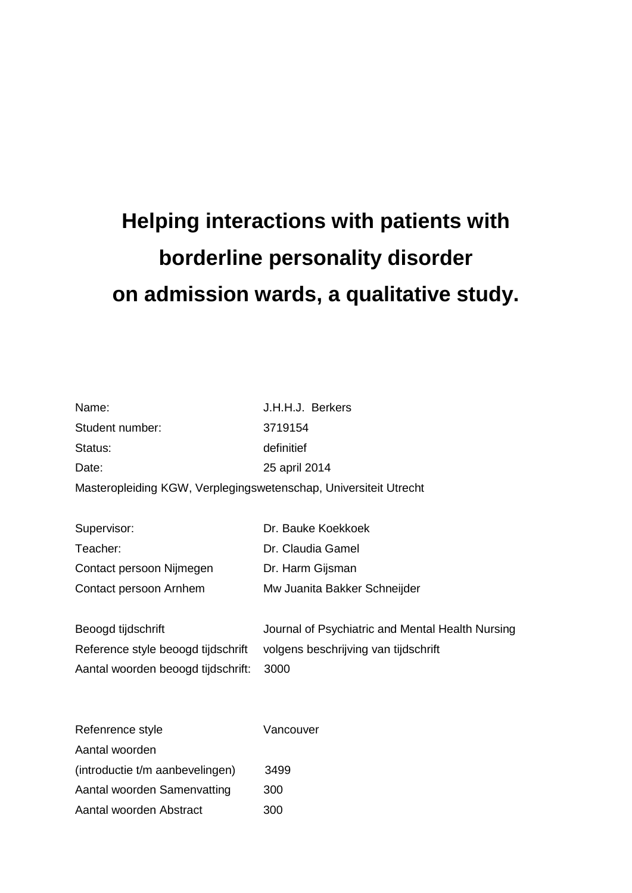# **Helping interactions with patients with borderline personality disorder on admission wards, a qualitative study.**

| Name:                                                            | J.H.H.J. Berkers                                 |  |
|------------------------------------------------------------------|--------------------------------------------------|--|
| Student number:                                                  | 3719154                                          |  |
| Status:                                                          | definitief                                       |  |
| Date:                                                            | 25 april 2014                                    |  |
| Masteropleiding KGW, Verplegingswetenschap, Universiteit Utrecht |                                                  |  |
|                                                                  |                                                  |  |
| Supervisor:                                                      | Dr. Bauke Koekkoek                               |  |
| Teacher:                                                         | Dr. Claudia Gamel                                |  |
| Contact persoon Nijmegen                                         | Dr. Harm Gijsman                                 |  |
| Contact persoon Arnhem                                           | Mw Juanita Bakker Schneijder                     |  |
|                                                                  |                                                  |  |
| Beoogd tijdschrift                                               | Journal of Psychiatric and Mental Health Nursing |  |
| Reference style beoogd tijdschrift                               | volgens beschrijving van tijdschrift             |  |
| Aantal woorden beoogd tijdschrift:                               | 3000                                             |  |
|                                                                  |                                                  |  |
|                                                                  |                                                  |  |
| Refenrence style                                                 | Vancouver                                        |  |
| Aantal woorden                                                   |                                                  |  |
| (introductie t/m aanbevelingen)                                  | 3499                                             |  |
| Aantal woorden Samenvatting                                      | 300                                              |  |
| Aantal woorden Abstract                                          | 300                                              |  |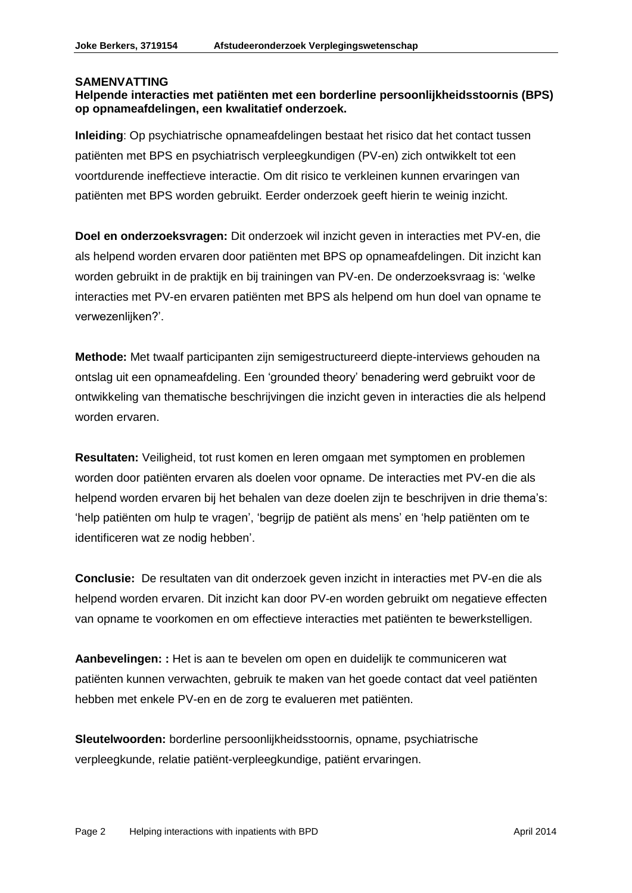#### **SAMENVATTING**

#### **Helpende interacties met patiënten met een borderline persoonlijkheidsstoornis (BPS) op opnameafdelingen, een kwalitatief onderzoek.**

**Inleiding**: Op psychiatrische opnameafdelingen bestaat het risico dat het contact tussen patiënten met BPS en psychiatrisch verpleegkundigen (PV-en) zich ontwikkelt tot een voortdurende ineffectieve interactie. Om dit risico te verkleinen kunnen ervaringen van patiënten met BPS worden gebruikt. Eerder onderzoek geeft hierin te weinig inzicht.

**Doel en onderzoeksvragen:** Dit onderzoek wil inzicht geven in interacties met PV-en, die als helpend worden ervaren door patiënten met BPS op opnameafdelingen. Dit inzicht kan worden gebruikt in de praktijk en bij trainingen van PV-en. De onderzoeksvraag is: 'welke interacties met PV-en ervaren patiënten met BPS als helpend om hun doel van opname te verwezenlijken?'.

**Methode:** Met twaalf participanten zijn semigestructureerd diepte-interviews gehouden na ontslag uit een opnameafdeling. Een 'grounded theory' benadering werd gebruikt voor de ontwikkeling van thematische beschrijvingen die inzicht geven in interacties die als helpend worden ervaren.

**Resultaten:** Veiligheid, tot rust komen en leren omgaan met symptomen en problemen worden door patiënten ervaren als doelen voor opname. De interacties met PV-en die als helpend worden ervaren bij het behalen van deze doelen zijn te beschrijven in drie thema's: 'help patiënten om hulp te vragen', 'begrijp de patiënt als mens' en 'help patiënten om te identificeren wat ze nodig hebben'.

**Conclusie:** De resultaten van dit onderzoek geven inzicht in interacties met PV-en die als helpend worden ervaren. Dit inzicht kan door PV-en worden gebruikt om negatieve effecten van opname te voorkomen en om effectieve interacties met patiënten te bewerkstelligen.

**Aanbevelingen: :** Het is aan te bevelen om open en duidelijk te communiceren wat patiënten kunnen verwachten, gebruik te maken van het goede contact dat veel patiënten hebben met enkele PV-en en de zorg te evalueren met patiënten.

**Sleutelwoorden:** borderline persoonlijkheidsstoornis, opname, psychiatrische verpleegkunde, relatie patiënt-verpleegkundige, patiënt ervaringen.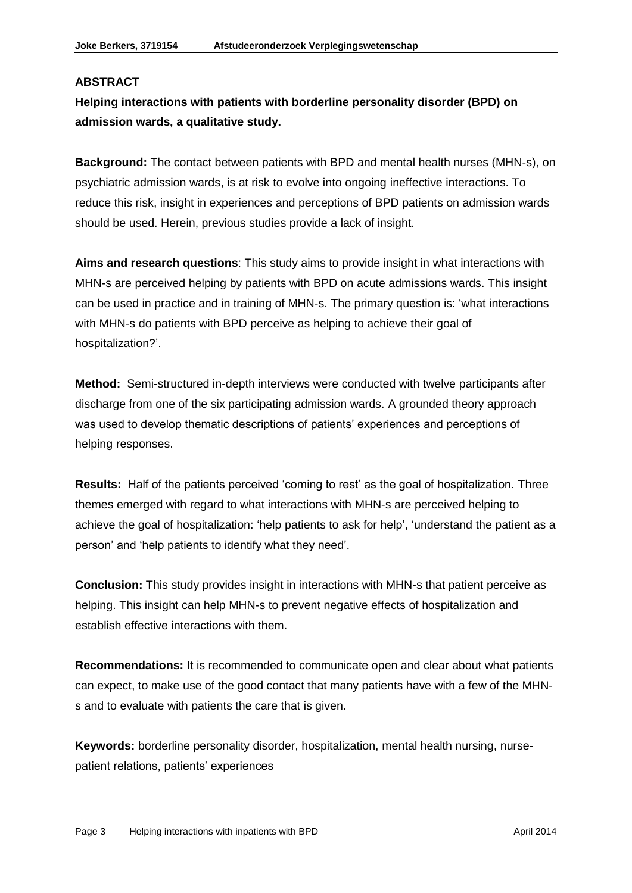#### **ABSTRACT**

**Helping interactions with patients with borderline personality disorder (BPD) on admission wards, a qualitative study.**

**Background:** The contact between patients with BPD and mental health nurses (MHN-s), on psychiatric admission wards, is at risk to evolve into ongoing ineffective interactions. To reduce this risk, insight in experiences and perceptions of BPD patients on admission wards should be used. Herein, previous studies provide a lack of insight.

**Aims and research questions**: This study aims to provide insight in what interactions with MHN-s are perceived helping by patients with BPD on acute admissions wards. This insight can be used in practice and in training of MHN-s. The primary question is: 'what interactions with MHN-s do patients with BPD perceive as helping to achieve their goal of hospitalization?'.

**Method:** Semi-structured in-depth interviews were conducted with twelve participants after discharge from one of the six participating admission wards. A grounded theory approach was used to develop thematic descriptions of patients' experiences and perceptions of helping responses.

**Results:** Half of the patients perceived 'coming to rest' as the goal of hospitalization. Three themes emerged with regard to what interactions with MHN-s are perceived helping to achieve the goal of hospitalization: 'help patients to ask for help', 'understand the patient as a person' and 'help patients to identify what they need'.

**Conclusion:** This study provides insight in interactions with MHN-s that patient perceive as helping. This insight can help MHN-s to prevent negative effects of hospitalization and establish effective interactions with them.

**Recommendations:** It is recommended to communicate open and clear about what patients can expect, to make use of the good contact that many patients have with a few of the MHNs and to evaluate with patients the care that is given.

**Keywords:** borderline personality disorder, hospitalization, mental health nursing, nursepatient relations, patients' experiences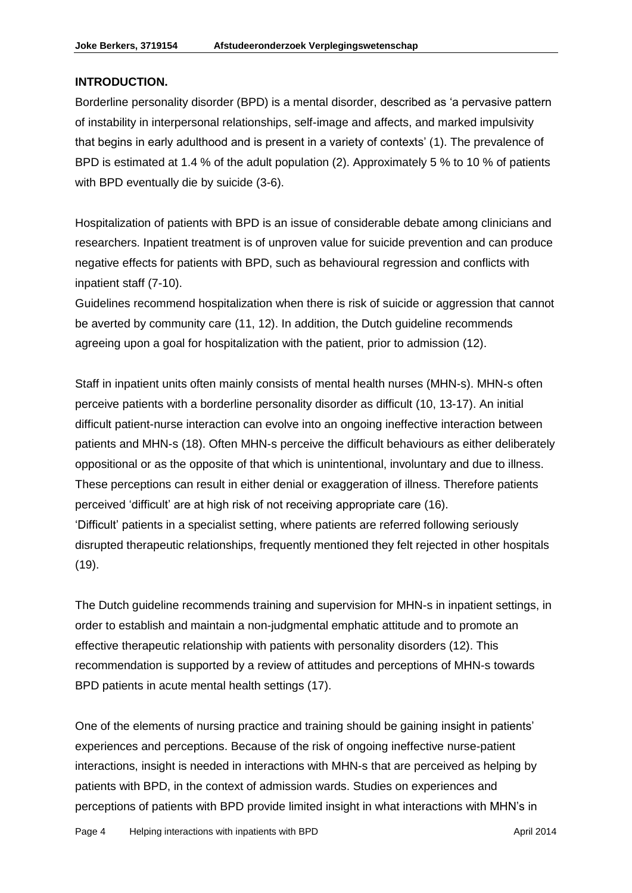#### **INTRODUCTION.**

Borderline personality disorder (BPD) is a mental disorder, described as 'a pervasive pattern of instability in interpersonal relationships, self-image and affects, and marked impulsivity that begins in early adulthood and is present in a variety of contexts' (1). The prevalence of BPD is estimated at 1.4 % of the adult population (2). Approximately 5 % to 10 % of patients with BPD eventually die by suicide (3-6).

Hospitalization of patients with BPD is an issue of considerable debate among clinicians and researchers. Inpatient treatment is of unproven value for suicide prevention and can produce negative effects for patients with BPD, such as behavioural regression and conflicts with inpatient staff (7-10).

Guidelines recommend hospitalization when there is risk of suicide or aggression that cannot be averted by community care (11, 12). In addition, the Dutch guideline recommends agreeing upon a goal for hospitalization with the patient, prior to admission (12).

Staff in inpatient units often mainly consists of mental health nurses (MHN-s). MHN-s often perceive patients with a borderline personality disorder as difficult (10, 13-17). An initial difficult patient-nurse interaction can evolve into an ongoing ineffective interaction between patients and MHN-s (18). Often MHN-s perceive the difficult behaviours as either deliberately oppositional or as the opposite of that which is unintentional, involuntary and due to illness. These perceptions can result in either denial or exaggeration of illness. Therefore patients perceived 'difficult' are at high risk of not receiving appropriate care (16). 'Difficult' patients in a specialist setting, where patients are referred following seriously disrupted therapeutic relationships, frequently mentioned they felt rejected in other hospitals (19).

The Dutch guideline recommends training and supervision for MHN-s in inpatient settings, in order to establish and maintain a non-judgmental emphatic attitude and to promote an effective therapeutic relationship with patients with personality disorders (12). This recommendation is supported by a review of attitudes and perceptions of MHN-s towards BPD patients in acute mental health settings (17).

One of the elements of nursing practice and training should be gaining insight in patients' experiences and perceptions. Because of the risk of ongoing ineffective nurse-patient interactions, insight is needed in interactions with MHN-s that are perceived as helping by patients with BPD, in the context of admission wards. Studies on experiences and perceptions of patients with BPD provide limited insight in what interactions with MHN's in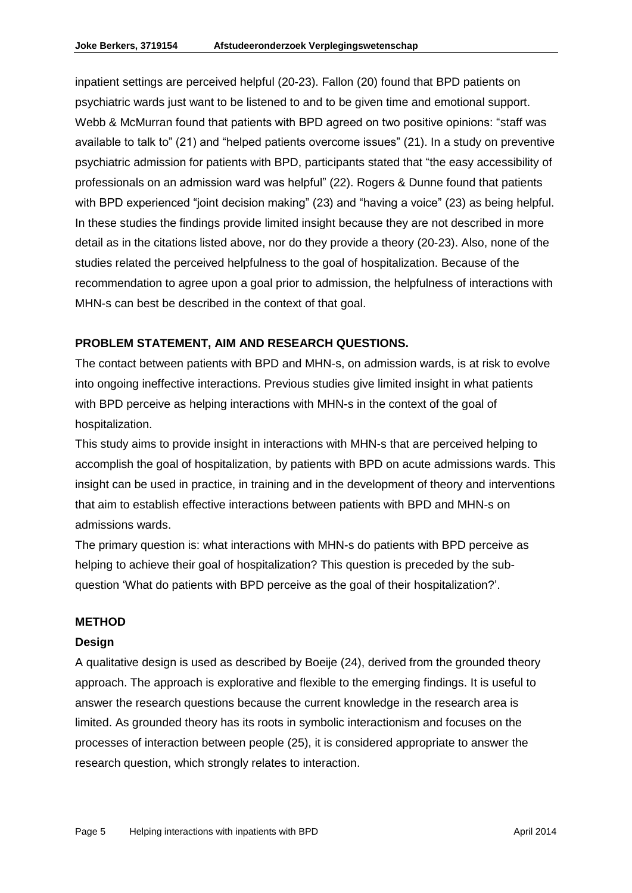inpatient settings are perceived helpful (20-23). Fallon (20) found that BPD patients on psychiatric wards just want to be listened to and to be given time and emotional support. Webb & McMurran found that patients with BPD agreed on two positive opinions: "staff was available to talk to" (21) and "helped patients overcome issues" (21). In a study on preventive psychiatric admission for patients with BPD, participants stated that "the easy accessibility of professionals on an admission ward was helpful" (22). Rogers & Dunne found that patients with BPD experienced "joint decision making" (23) and "having a voice" (23) as being helpful. In these studies the findings provide limited insight because they are not described in more detail as in the citations listed above, nor do they provide a theory (20-23). Also, none of the studies related the perceived helpfulness to the goal of hospitalization. Because of the recommendation to agree upon a goal prior to admission, the helpfulness of interactions with MHN-s can best be described in the context of that goal.

## **PROBLEM STATEMENT, AIM AND RESEARCH QUESTIONS.**

The contact between patients with BPD and MHN-s, on admission wards, is at risk to evolve into ongoing ineffective interactions. Previous studies give limited insight in what patients with BPD perceive as helping interactions with MHN-s in the context of the goal of hospitalization.

This study aims to provide insight in interactions with MHN-s that are perceived helping to accomplish the goal of hospitalization, by patients with BPD on acute admissions wards. This insight can be used in practice, in training and in the development of theory and interventions that aim to establish effective interactions between patients with BPD and MHN-s on admissions wards.

The primary question is: what interactions with MHN-s do patients with BPD perceive as helping to achieve their goal of hospitalization? This question is preceded by the subquestion 'What do patients with BPD perceive as the goal of their hospitalization?'.

#### **METHOD**

#### **Design**

A qualitative design is used as described by Boeije (24), derived from the grounded theory approach. The approach is explorative and flexible to the emerging findings. It is useful to answer the research questions because the current knowledge in the research area is limited. As grounded theory has its roots in symbolic interactionism and focuses on the processes of interaction between people (25), it is considered appropriate to answer the research question, which strongly relates to interaction.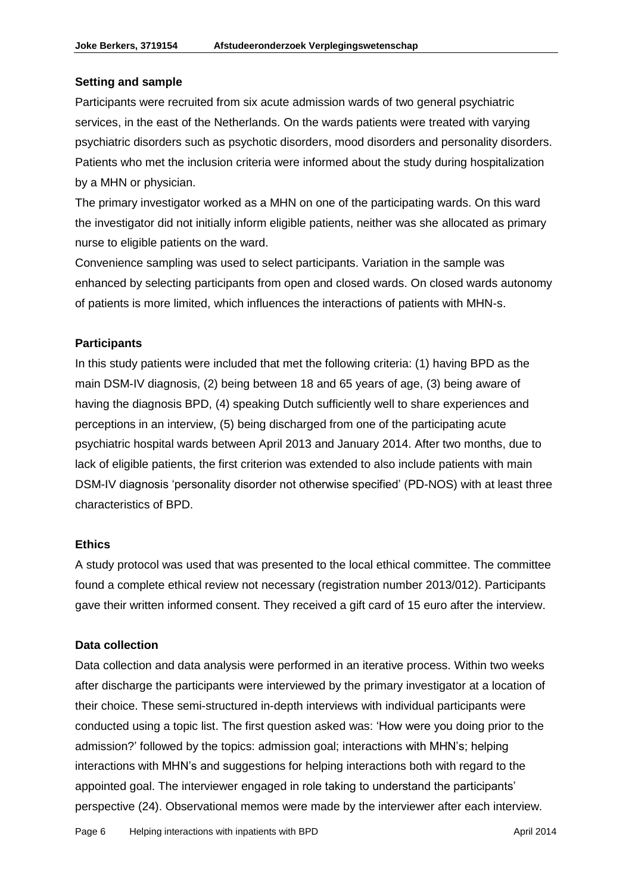#### **Setting and sample**

Participants were recruited from six acute admission wards of two general psychiatric services, in the east of the Netherlands. On the wards patients were treated with varying psychiatric disorders such as psychotic disorders, mood disorders and personality disorders. Patients who met the inclusion criteria were informed about the study during hospitalization by a MHN or physician.

The primary investigator worked as a MHN on one of the participating wards. On this ward the investigator did not initially inform eligible patients, neither was she allocated as primary nurse to eligible patients on the ward.

Convenience sampling was used to select participants. Variation in the sample was enhanced by selecting participants from open and closed wards. On closed wards autonomy of patients is more limited, which influences the interactions of patients with MHN-s.

#### **Participants**

In this study patients were included that met the following criteria: (1) having BPD as the main DSM-IV diagnosis, (2) being between 18 and 65 years of age, (3) being aware of having the diagnosis BPD, (4) speaking Dutch sufficiently well to share experiences and perceptions in an interview, (5) being discharged from one of the participating acute psychiatric hospital wards between April 2013 and January 2014. After two months, due to lack of eligible patients, the first criterion was extended to also include patients with main DSM-IV diagnosis 'personality disorder not otherwise specified' (PD-NOS) with at least three characteristics of BPD.

#### **Ethics**

A study protocol was used that was presented to the local ethical committee. The committee found a complete ethical review not necessary (registration number 2013/012). Participants gave their written informed consent. They received a gift card of 15 euro after the interview.

#### **Data collection**

Data collection and data analysis were performed in an iterative process. Within two weeks after discharge the participants were interviewed by the primary investigator at a location of their choice. These semi-structured in-depth interviews with individual participants were conducted using a topic list. The first question asked was: 'How were you doing prior to the admission?' followed by the topics: admission goal; interactions with MHN's; helping interactions with MHN's and suggestions for helping interactions both with regard to the appointed goal. The interviewer engaged in role taking to understand the participants' perspective (24). Observational memos were made by the interviewer after each interview.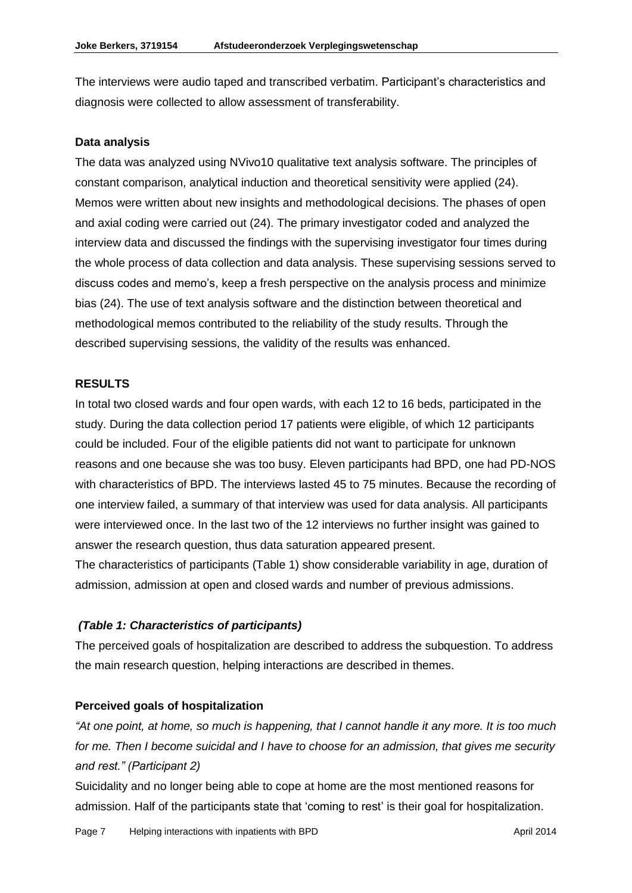The interviews were audio taped and transcribed verbatim. Participant's characteristics and diagnosis were collected to allow assessment of transferability.

#### **Data analysis**

The data was analyzed using NVivo10 qualitative text analysis software. The principles of constant comparison, analytical induction and theoretical sensitivity were applied (24). Memos were written about new insights and methodological decisions. The phases of open and axial coding were carried out (24). The primary investigator coded and analyzed the interview data and discussed the findings with the supervising investigator four times during the whole process of data collection and data analysis. These supervising sessions served to discuss codes and memo's, keep a fresh perspective on the analysis process and minimize bias (24). The use of text analysis software and the distinction between theoretical and methodological memos contributed to the reliability of the study results. Through the described supervising sessions, the validity of the results was enhanced.

#### **RESULTS**

In total two closed wards and four open wards, with each 12 to 16 beds, participated in the study. During the data collection period 17 patients were eligible, of which 12 participants could be included. Four of the eligible patients did not want to participate for unknown reasons and one because she was too busy. Eleven participants had BPD, one had PD-NOS with characteristics of BPD. The interviews lasted 45 to 75 minutes. Because the recording of one interview failed, a summary of that interview was used for data analysis. All participants were interviewed once. In the last two of the 12 interviews no further insight was gained to answer the research question, thus data saturation appeared present.

The characteristics of participants (Table 1) show considerable variability in age, duration of admission, admission at open and closed wards and number of previous admissions.

#### *(Table 1: Characteristics of participants)*

The perceived goals of hospitalization are described to address the subquestion. To address the main research question, helping interactions are described in themes.

#### **Perceived goals of hospitalization**

*"At one point, at home, so much is happening, that I cannot handle it any more. It is too much for me. Then I become suicidal and I have to choose for an admission, that gives me security and rest." (Participant 2)*

Suicidality and no longer being able to cope at home are the most mentioned reasons for admission. Half of the participants state that 'coming to rest' is their goal for hospitalization.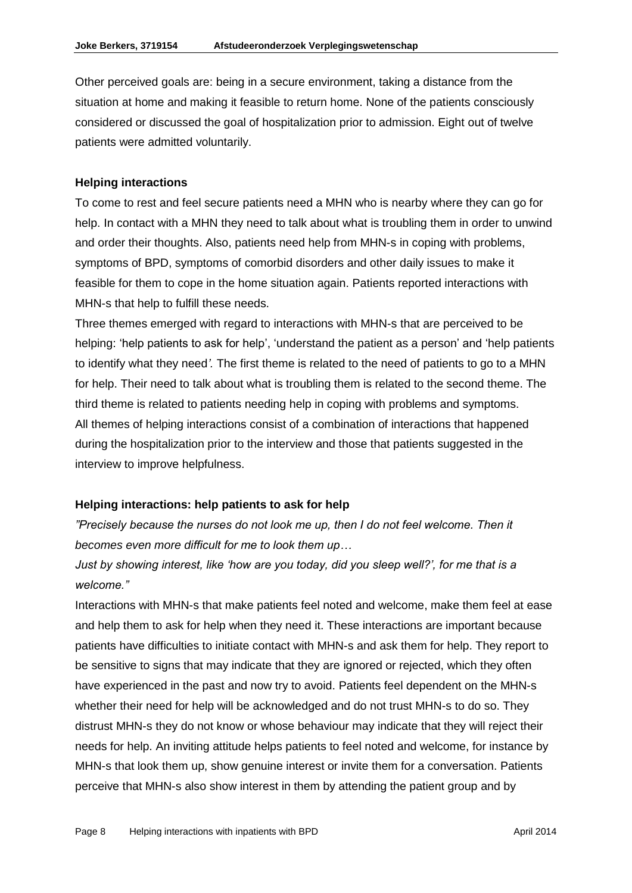Other perceived goals are: being in a secure environment, taking a distance from the situation at home and making it feasible to return home. None of the patients consciously considered or discussed the goal of hospitalization prior to admission. Eight out of twelve patients were admitted voluntarily.

#### **Helping interactions**

To come to rest and feel secure patients need a MHN who is nearby where they can go for help. In contact with a MHN they need to talk about what is troubling them in order to unwind and order their thoughts. Also, patients need help from MHN-s in coping with problems, symptoms of BPD, symptoms of comorbid disorders and other daily issues to make it feasible for them to cope in the home situation again. Patients reported interactions with MHN-s that help to fulfill these needs.

Three themes emerged with regard to interactions with MHN-s that are perceived to be helping: 'help patients to ask for help', 'understand the patient as a person' and 'help patients to identify what they need*'.* The first theme is related to the need of patients to go to a MHN for help. Their need to talk about what is troubling them is related to the second theme. The third theme is related to patients needing help in coping with problems and symptoms. All themes of helping interactions consist of a combination of interactions that happened during the hospitalization prior to the interview and those that patients suggested in the interview to improve helpfulness.

#### **Helping interactions: help patients to ask for help**

*"Precisely because the nurses do not look me up, then I do not feel welcome. Then it becomes even more difficult for me to look them up…*

# *Just by showing interest, like 'how are you today, did you sleep well?', for me that is a welcome."*

Interactions with MHN-s that make patients feel noted and welcome, make them feel at ease and help them to ask for help when they need it. These interactions are important because patients have difficulties to initiate contact with MHN-s and ask them for help. They report to be sensitive to signs that may indicate that they are ignored or rejected, which they often have experienced in the past and now try to avoid. Patients feel dependent on the MHN-s whether their need for help will be acknowledged and do not trust MHN-s to do so. They distrust MHN-s they do not know or whose behaviour may indicate that they will reject their needs for help. An inviting attitude helps patients to feel noted and welcome, for instance by MHN-s that look them up, show genuine interest or invite them for a conversation. Patients perceive that MHN-s also show interest in them by attending the patient group and by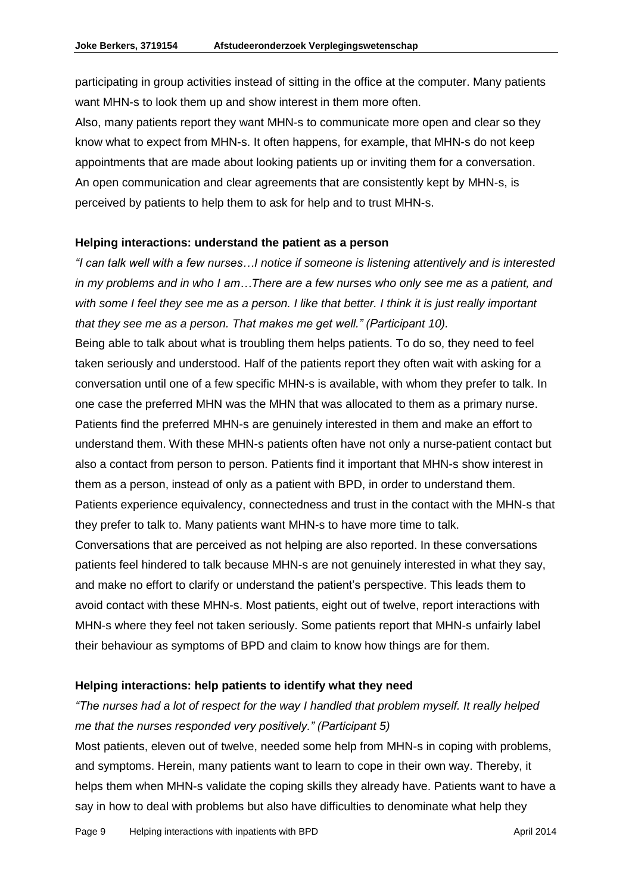participating in group activities instead of sitting in the office at the computer. Many patients want MHN-s to look them up and show interest in them more often.

Also, many patients report they want MHN-s to communicate more open and clear so they know what to expect from MHN-s. It often happens, for example, that MHN-s do not keep appointments that are made about looking patients up or inviting them for a conversation. An open communication and clear agreements that are consistently kept by MHN-s, is perceived by patients to help them to ask for help and to trust MHN-s.

#### **Helping interactions: understand the patient as a person**

*"I can talk well with a few nurses…I notice if someone is listening attentively and is interested in my problems and in who I am…There are a few nurses who only see me as a patient, and with some I feel they see me as a person. I like that better. I think it is just really important that they see me as a person. That makes me get well." (Participant 10).*

Being able to talk about what is troubling them helps patients. To do so, they need to feel taken seriously and understood. Half of the patients report they often wait with asking for a conversation until one of a few specific MHN-s is available, with whom they prefer to talk. In one case the preferred MHN was the MHN that was allocated to them as a primary nurse. Patients find the preferred MHN-s are genuinely interested in them and make an effort to understand them. With these MHN-s patients often have not only a nurse-patient contact but also a contact from person to person. Patients find it important that MHN-s show interest in them as a person, instead of only as a patient with BPD, in order to understand them. Patients experience equivalency, connectedness and trust in the contact with the MHN-s that they prefer to talk to. Many patients want MHN-s to have more time to talk.

Conversations that are perceived as not helping are also reported. In these conversations patients feel hindered to talk because MHN-s are not genuinely interested in what they say, and make no effort to clarify or understand the patient's perspective. This leads them to avoid contact with these MHN-s. Most patients, eight out of twelve, report interactions with MHN-s where they feel not taken seriously. Some patients report that MHN-s unfairly label their behaviour as symptoms of BPD and claim to know how things are for them.

#### **Helping interactions: help patients to identify what they need**

# *"The nurses had a lot of respect for the way I handled that problem myself. It really helped me that the nurses responded very positively." (Participant 5)*

Most patients, eleven out of twelve, needed some help from MHN-s in coping with problems, and symptoms. Herein, many patients want to learn to cope in their own way. Thereby, it helps them when MHN-s validate the coping skills they already have. Patients want to have a say in how to deal with problems but also have difficulties to denominate what help they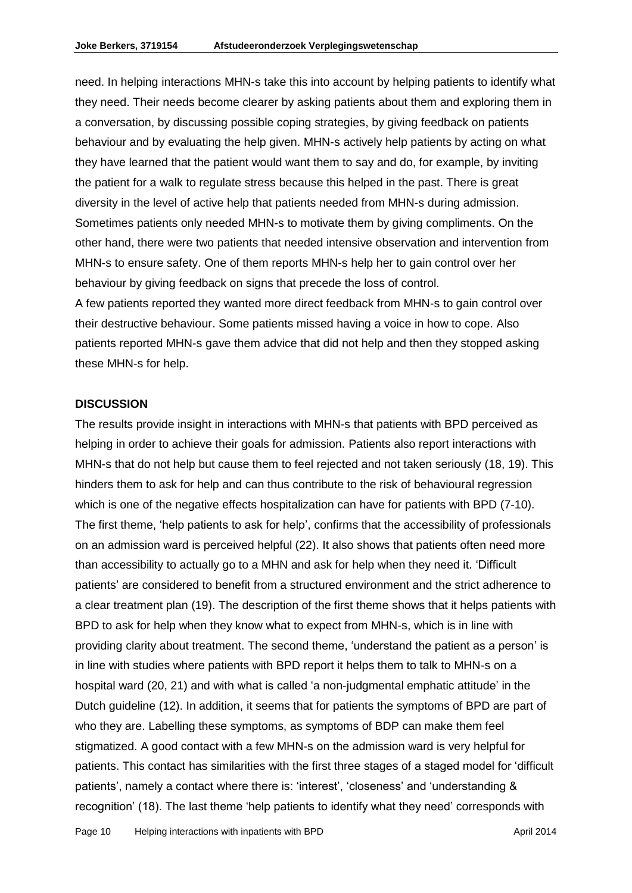need. In helping interactions MHN-s take this into account by helping patients to identify what they need. Their needs become clearer by asking patients about them and exploring them in a conversation, by discussing possible coping strategies, by giving feedback on patients behaviour and by evaluating the help given. MHN-s actively help patients by acting on what they have learned that the patient would want them to say and do, for example, by inviting the patient for a walk to regulate stress because this helped in the past. There is great diversity in the level of active help that patients needed from MHN-s during admission. Sometimes patients only needed MHN-s to motivate them by giving compliments. On the other hand, there were two patients that needed intensive observation and intervention from MHN-s to ensure safety. One of them reports MHN-s help her to gain control over her behaviour by giving feedback on signs that precede the loss of control. A few patients reported they wanted more direct feedback from MHN-s to gain control over their destructive behaviour. Some patients missed having a voice in how to cope. Also patients reported MHN-s gave them advice that did not help and then they stopped asking

#### **DISCUSSION**

these MHN-s for help.

The results provide insight in interactions with MHN-s that patients with BPD perceived as helping in order to achieve their goals for admission. Patients also report interactions with MHN-s that do not help but cause them to feel rejected and not taken seriously (18, 19). This hinders them to ask for help and can thus contribute to the risk of behavioural regression which is one of the negative effects hospitalization can have for patients with BPD (7-10). The first theme, 'help patients to ask for help', confirms that the accessibility of professionals on an admission ward is perceived helpful (22). It also shows that patients often need more than accessibility to actually go to a MHN and ask for help when they need it. 'Difficult patients' are considered to benefit from a structured environment and the strict adherence to a clear treatment plan (19). The description of the first theme shows that it helps patients with BPD to ask for help when they know what to expect from MHN-s, which is in line with providing clarity about treatment. The second theme, 'understand the patient as a person' is in line with studies where patients with BPD report it helps them to talk to MHN-s on a hospital ward (20, 21) and with what is called 'a non-judgmental emphatic attitude' in the Dutch guideline (12). In addition, it seems that for patients the symptoms of BPD are part of who they are. Labelling these symptoms, as symptoms of BDP can make them feel stigmatized. A good contact with a few MHN-s on the admission ward is very helpful for patients. This contact has similarities with the first three stages of a staged model for 'difficult patients', namely a contact where there is: 'interest', 'closeness' and 'understanding & recognition' (18). The last theme 'help patients to identify what they need' corresponds with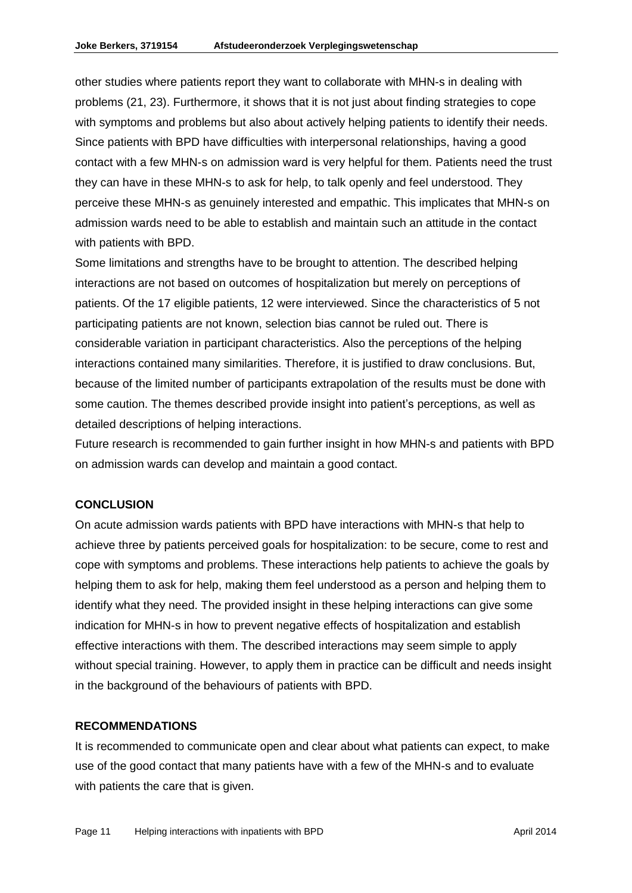other studies where patients report they want to collaborate with MHN-s in dealing with problems (21, 23). Furthermore, it shows that it is not just about finding strategies to cope with symptoms and problems but also about actively helping patients to identify their needs. Since patients with BPD have difficulties with interpersonal relationships, having a good contact with a few MHN-s on admission ward is very helpful for them. Patients need the trust they can have in these MHN-s to ask for help, to talk openly and feel understood. They perceive these MHN-s as genuinely interested and empathic. This implicates that MHN-s on admission wards need to be able to establish and maintain such an attitude in the contact with patients with BPD.

Some limitations and strengths have to be brought to attention. The described helping interactions are not based on outcomes of hospitalization but merely on perceptions of patients. Of the 17 eligible patients, 12 were interviewed. Since the characteristics of 5 not participating patients are not known, selection bias cannot be ruled out. There is considerable variation in participant characteristics. Also the perceptions of the helping interactions contained many similarities. Therefore, it is justified to draw conclusions. But, because of the limited number of participants extrapolation of the results must be done with some caution. The themes described provide insight into patient's perceptions, as well as detailed descriptions of helping interactions.

Future research is recommended to gain further insight in how MHN-s and patients with BPD on admission wards can develop and maintain a good contact.

### **CONCLUSION**

On acute admission wards patients with BPD have interactions with MHN-s that help to achieve three by patients perceived goals for hospitalization: to be secure, come to rest and cope with symptoms and problems. These interactions help patients to achieve the goals by helping them to ask for help, making them feel understood as a person and helping them to identify what they need. The provided insight in these helping interactions can give some indication for MHN-s in how to prevent negative effects of hospitalization and establish effective interactions with them. The described interactions may seem simple to apply without special training. However, to apply them in practice can be difficult and needs insight in the background of the behaviours of patients with BPD.

#### **RECOMMENDATIONS**

It is recommended to communicate open and clear about what patients can expect, to make use of the good contact that many patients have with a few of the MHN-s and to evaluate with patients the care that is given.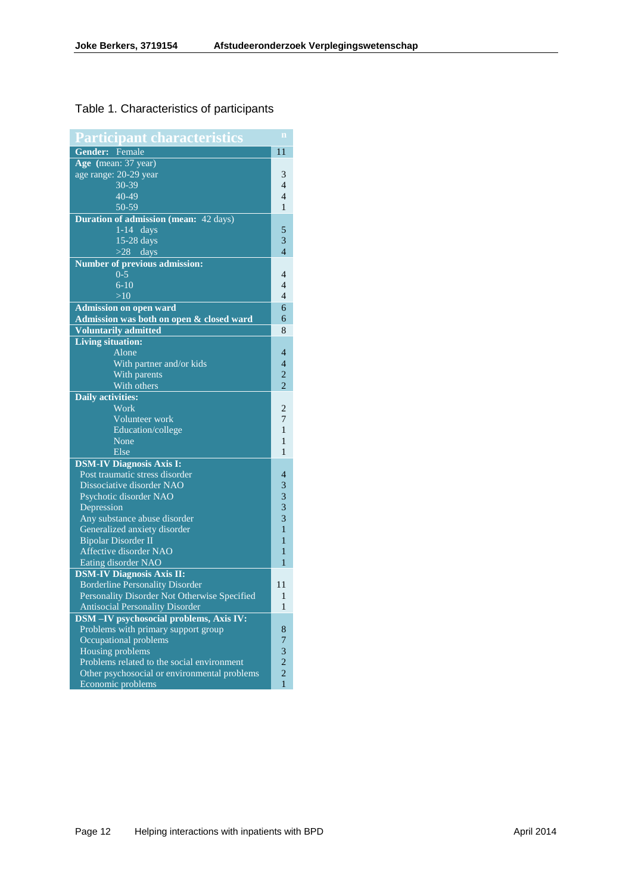# Table 1. Characteristics of participants

| Participant characteristics                  |                   |
|----------------------------------------------|-------------------|
| Gender: Female                               | 11                |
| Age (mean: 37 year)                          |                   |
| age range: 20-29 year                        | 3                 |
| $30 - 39$                                    | 4                 |
| $40 - 49$                                    | $\overline{4}$    |
| 50-59                                        | 1                 |
| <b>Duration of admission (mean: 42 days)</b> |                   |
| $1-14$ days                                  | 5                 |
| $15 - 28$ days                               | 3                 |
| $>28$ days                                   | $\overline{4}$    |
| <b>Number of previous admission:</b>         |                   |
| $0 - 5$                                      | 4                 |
| $6 - 10$                                     | 4                 |
| >10                                          | 4                 |
| <b>Admission on open ward</b>                | 6                 |
| Admission was both on open & closed ward     | 6                 |
| <b>Voluntarily admitted</b>                  | 8                 |
| <b>Living situation:</b>                     |                   |
| Alone                                        | 4                 |
|                                              | $\overline{4}$    |
| With partner and/or kids                     | $\overline{2}$    |
| With parents                                 | $\overline{2}$    |
| With others                                  |                   |
| <b>Daily activities:</b>                     |                   |
| Work                                         | 2                 |
| Volunteer work                               | 7                 |
| Education/college                            | 1                 |
| None                                         | 1                 |
| Else                                         | $\mathbf{1}$      |
| <b>DSM-IV Diagnosis Axis I:</b>              |                   |
| Post traumatic stress disorder               | 4                 |
| Dissociative disorder NAO                    | 3                 |
| Psychotic disorder NAO                       | 3                 |
| Depression                                   | 3                 |
| Any substance abuse disorder                 | 3                 |
| Generalized anxiety disorder                 | $\mathbf{1}$      |
| <b>Bipolar Disorder II</b>                   | 1                 |
| Affective disorder NAO                       | 1                 |
| Eating disorder NAO                          | 1                 |
| <b>DSM-IV Diagnosis Axis II:</b>             |                   |
| <b>Borderline Personality Disorder</b>       | 11                |
| Personality Disorder Not Otherwise Specified | 1<br>$\mathbf{1}$ |
| <b>Antisocial Personality Disorder</b>       |                   |
| DSM-IV psychosocial problems, Axis IV:       | 8                 |
| Problems with primary support group          |                   |
| Occupational problems                        |                   |
| Housing problems                             |                   |
| Problems related to the social environment   |                   |
| Other psychosocial or environmental problems |                   |
| Economic problems                            | $\mathbf{1}$      |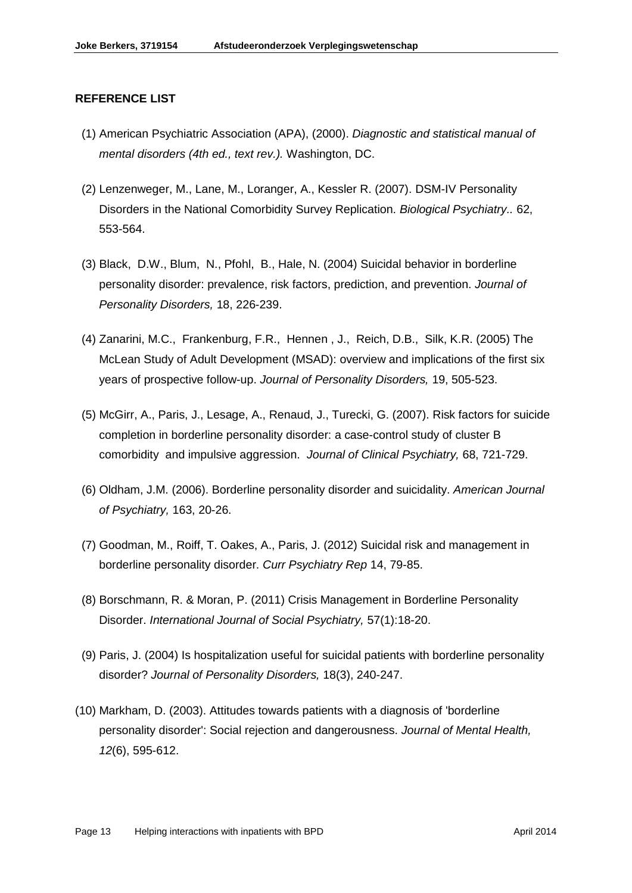#### **REFERENCE LIST**

- (1) American Psychiatric Association (APA), (2000). *Diagnostic and statistical manual of mental disorders (4th ed., text rev.).* Washington, DC.
- (2) Lenzenweger, M., Lane, M., Loranger, A., Kessler R. (2007). DSM-IV Personality Disorders in the National Comorbidity Survey Replication. *Biological Psychiatry..* 62, 553-564.
- (3) Black, D.W., Blum, N., Pfohl, B., Hale, N. (2004) Suicidal behavior in borderline personality disorder: prevalence, risk factors, prediction, and prevention. *Journal of Personality Disorders,* 18, 226-239.
- (4) Zanarini, M.C., Frankenburg, F.R., Hennen , J., Reich, D.B., Silk, K.R. (2005) The McLean Study of Adult Development (MSAD): overview and implications of the first six years of prospective follow-up. *Journal of Personality Disorders,* 19, 505-523.
- (5) McGirr, A., Paris, J., Lesage, A., Renaud, J., Turecki, G. (2007). Risk factors for suicide completion in borderline personality disorder: a case-control study of cluster B comorbidity and impulsive aggression. *Journal of Clinical Psychiatry,* 68, 721-729.
- (6) Oldham, J.M. (2006). Borderline personality disorder and suicidality. *American Journal of Psychiatry,* 163, 20-26.
- (7) Goodman, M., Roiff, T. Oakes, A., Paris, J. (2012) Suicidal risk and management in borderline personality disorder. *Curr Psychiatry Rep* 14, 79-85.
- (8) Borschmann, R. & Moran, P. (2011) Crisis Management in Borderline Personality Disorder. *International Journal of Social Psychiatry,* 57(1):18-20.
- (9) Paris, J. (2004) Is hospitalization useful for suicidal patients with borderline personality disorder? *Journal of Personality Disorders,* 18(3), 240-247.
- (10) Markham, D. (2003). Attitudes towards patients with a diagnosis of 'borderline personality disorder': Social rejection and dangerousness. *Journal of Mental Health, 12*(6), 595-612.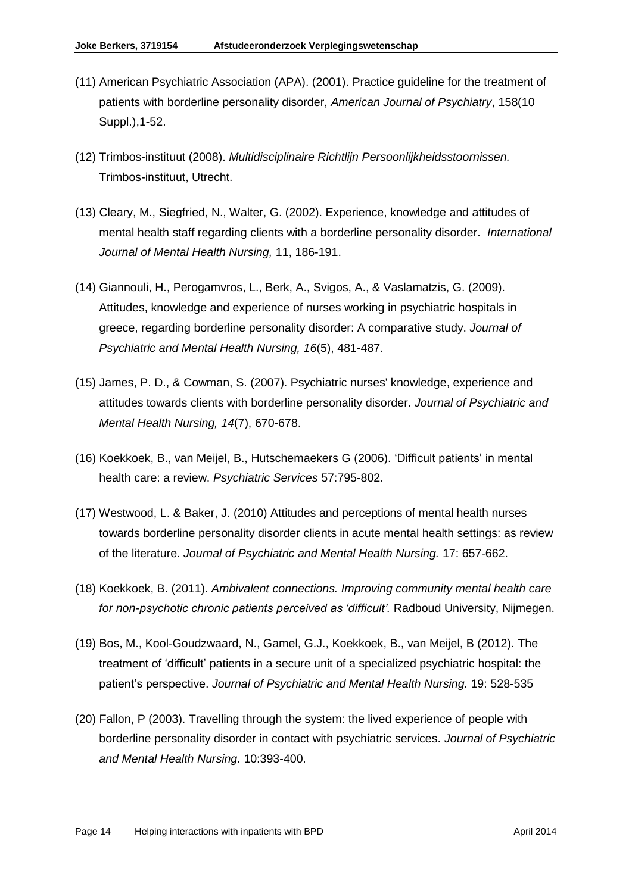- (11) American Psychiatric Association (APA). (2001). Practice guideline for the treatment of patients with borderline personality disorder, *American Journal of Psychiatry*, 158(10 Suppl.),1-52.
- (12) Trimbos-instituut (2008). *Multidisciplinaire Richtlijn Persoonlijkheidsstoornissen.* Trimbos-instituut, Utrecht.
- (13) Cleary, M., Siegfried, N., Walter, G. (2002). Experience, knowledge and attitudes of mental health staff regarding clients with a borderline personality disorder. *International Journal of Mental Health Nursing,* 11, 186-191.
- (14) Giannouli, H., Perogamvros, L., Berk, A., Svigos, A., & Vaslamatzis, G. (2009). Attitudes, knowledge and experience of nurses working in psychiatric hospitals in greece, regarding borderline personality disorder: A comparative study. *Journal of Psychiatric and Mental Health Nursing, 16*(5), 481-487.
- (15) James, P. D., & Cowman, S. (2007). Psychiatric nurses' knowledge, experience and attitudes towards clients with borderline personality disorder. *Journal of Psychiatric and Mental Health Nursing, 14*(7), 670-678.
- (16) Koekkoek, B., van Meijel, B., Hutschemaekers G (2006). 'Difficult patients' in mental health care: a review. *Psychiatric Services* 57:795-802.
- (17) Westwood, L. & Baker, J. (2010) Attitudes and perceptions of mental health nurses towards borderline personality disorder clients in acute mental health settings: as review of the literature. *Journal of Psychiatric and Mental Health Nursing.* 17: 657-662.
- (18) Koekkoek, B. (2011). *Ambivalent connections. Improving community mental health care for non-psychotic chronic patients perceived as 'difficult'.* Radboud University, Nijmegen.
- (19) Bos, M., Kool-Goudzwaard, N., Gamel, G.J., Koekkoek, B., van Meijel, B (2012). The treatment of 'difficult' patients in a secure unit of a specialized psychiatric hospital: the patient's perspective. *Journal of Psychiatric and Mental Health Nursing.* 19: 528-535
- (20) Fallon, P (2003). Travelling through the system: the lived experience of people with borderline personality disorder in contact with psychiatric services. *Journal of Psychiatric and Mental Health Nursing.* 10:393-400.